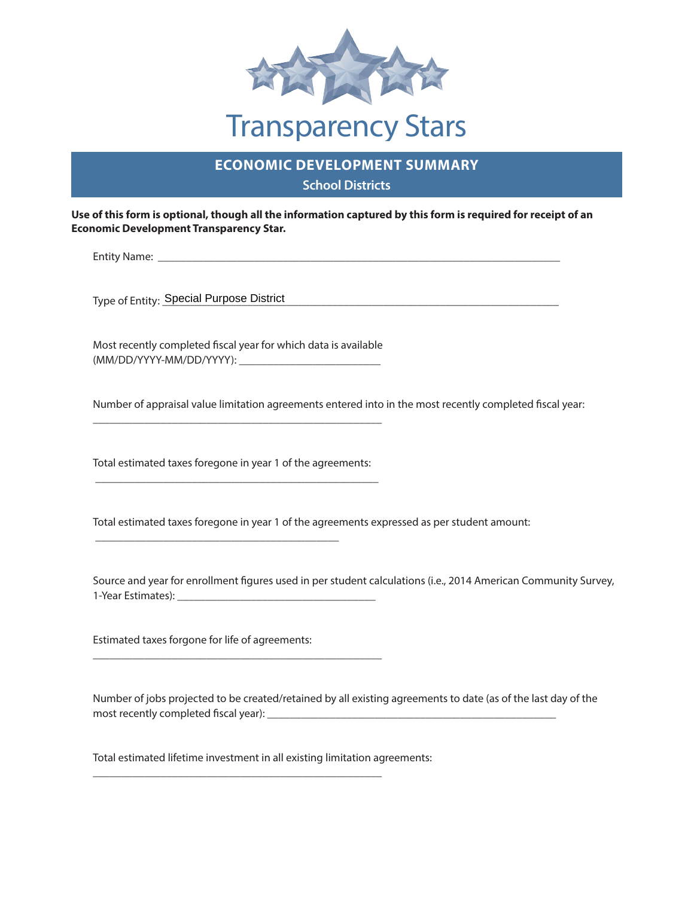

## Transparency Stars

## **ECONOMIC DEVELOPMENT SUMMARY School Districts**

**Use of this form is optional, though all the information captured by this form is required for receipt of an Economic Development Transparency Star.**

\_\_\_\_\_\_\_\_\_\_\_\_\_\_\_\_\_\_\_\_\_\_\_\_\_\_\_\_\_\_\_\_\_\_\_\_\_\_\_\_\_\_\_\_\_\_\_\_\_\_\_\_\_\_\_\_\_\_\_\_\_\_\_\_\_\_\_\_\_\_\_ Entity Name:

\_\_\_\_\_\_\_\_\_\_\_\_\_\_\_\_\_\_\_\_\_\_\_\_\_\_\_\_\_\_\_\_\_\_\_\_\_\_\_\_\_\_\_\_\_\_\_\_\_\_\_\_\_\_\_\_\_\_\_\_\_\_\_\_\_\_\_\_\_\_ Type of Entity: Special Purpose District

\_\_\_\_\_\_\_\_\_\_\_\_\_\_\_\_\_\_\_\_\_\_\_\_\_ (MM/DD/YYYY-MM/DD/YYYY): Most recently completed fiscal year for which data is available

Number of appraisal value limitation agreements entered into in the most recently completed fiscal year:

 \_\_\_\_\_\_\_\_\_\_\_\_\_\_\_\_\_\_\_\_\_\_\_\_\_\_\_\_\_\_\_\_\_\_\_\_\_\_\_\_\_\_\_\_\_\_\_\_\_\_ Total estimated taxes foregone in year 1 of the agreements:

\_\_\_\_\_\_\_\_\_\_\_\_\_\_\_\_\_\_\_\_\_\_\_\_\_\_\_\_\_\_\_\_\_\_\_\_\_\_\_\_\_\_\_

\_\_\_\_\_\_\_\_\_\_\_\_\_\_\_\_\_\_\_\_\_\_\_\_\_\_\_\_\_\_\_\_\_\_\_\_\_\_\_\_\_\_\_\_\_\_\_\_\_\_\_

Total estimated taxes foregone in year 1 of the agreements expressed as per student amount:

\_\_\_\_\_\_\_\_\_\_\_\_\_\_\_\_\_\_\_\_\_\_\_\_\_\_\_\_\_\_\_\_\_\_\_ 1-Year Estimates): Source and year for enrollment figures used in per student calculations (i.e., 2014 American Community Survey,

Estimated taxes forgone for life of agreements:

\_\_\_\_\_\_\_\_\_\_\_\_\_\_\_\_\_\_\_\_\_\_\_\_\_\_\_\_\_\_\_\_\_\_\_\_\_\_\_\_\_\_\_\_\_\_\_\_\_\_\_

\_\_\_\_\_\_\_\_\_\_\_\_\_\_\_\_\_\_\_\_\_\_\_\_\_\_\_\_\_\_\_\_\_\_\_\_\_\_\_\_\_\_\_\_\_\_\_\_\_\_\_

\_\_\_\_\_\_\_\_\_\_\_\_\_\_\_\_\_\_\_\_\_\_\_\_\_\_\_\_\_\_\_\_\_\_\_\_\_\_\_\_\_\_\_\_\_\_\_\_\_\_\_ most recently completed fiscal year): Number of jobs projected to be created/retained by all existing agreements to date (as of the last day of the

Total estimated lifetime investment in all existing limitation agreements: